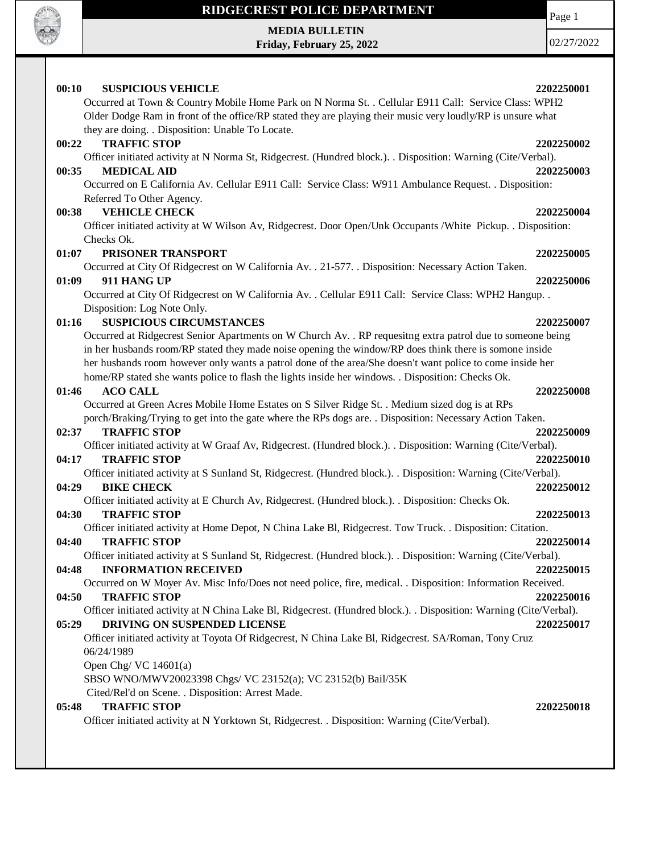

**MEDIA BULLETIN Friday, February 25, 2022** Page 1

| 00:10 | <b>SUSPICIOUS VEHICLE</b>                                                                                                            | 2202250001 |
|-------|--------------------------------------------------------------------------------------------------------------------------------------|------------|
|       | Occurred at Town & Country Mobile Home Park on N Norma St. . Cellular E911 Call: Service Class: WPH2                                 |            |
|       | Older Dodge Ram in front of the office/RP stated they are playing their music very loudly/RP is unsure what                          |            |
|       | they are doing. . Disposition: Unable To Locate.                                                                                     |            |
| 00:22 | <b>TRAFFIC STOP</b>                                                                                                                  | 2202250002 |
|       | Officer initiated activity at N Norma St, Ridgecrest. (Hundred block.). . Disposition: Warning (Cite/Verbal).                        |            |
| 00:35 | <b>MEDICAL AID</b>                                                                                                                   | 2202250003 |
|       | Occurred on E California Av. Cellular E911 Call: Service Class: W911 Ambulance Request. . Disposition:                               |            |
|       | Referred To Other Agency.                                                                                                            |            |
| 00:38 | <b>VEHICLE CHECK</b>                                                                                                                 | 2202250004 |
|       | Officer initiated activity at W Wilson Av, Ridgecrest. Door Open/Unk Occupants /White Pickup. . Disposition:<br>Checks Ok.           |            |
| 01:07 | PRISONER TRANSPORT                                                                                                                   | 2202250005 |
|       | Occurred at City Of Ridgecrest on W California Av. . 21-577. . Disposition: Necessary Action Taken.                                  |            |
| 01:09 | 911 HANG UP                                                                                                                          | 2202250006 |
|       | Occurred at City Of Ridgecrest on W California Av. . Cellular E911 Call: Service Class: WPH2 Hangup. .                               |            |
|       | Disposition: Log Note Only.                                                                                                          |            |
| 01:16 | <b>SUSPICIOUS CIRCUMSTANCES</b>                                                                                                      | 2202250007 |
|       | Occurred at Ridgecrest Senior Apartments on W Church Av. . RP requesitng extra patrol due to someone being                           |            |
|       | in her husbands room/RP stated they made noise opening the window/RP does think there is somone inside                               |            |
|       | her husbands room however only wants a patrol done of the area/She doesn't want police to come inside her                            |            |
|       | home/RP stated she wants police to flash the lights inside her windows. . Disposition: Checks Ok.                                    |            |
| 01:46 | <b>ACO CALL</b>                                                                                                                      | 2202250008 |
|       | Occurred at Green Acres Mobile Home Estates on S Silver Ridge St. . Medium sized dog is at RPs                                       |            |
|       | porch/Braking/Trying to get into the gate where the RPs dogs are. . Disposition: Necessary Action Taken.                             |            |
| 02:37 | <b>TRAFFIC STOP</b>                                                                                                                  | 2202250009 |
| 04:17 | Officer initiated activity at W Graaf Av, Ridgecrest. (Hundred block.). . Disposition: Warning (Cite/Verbal).<br><b>TRAFFIC STOP</b> |            |
|       | Officer initiated activity at S Sunland St, Ridgecrest. (Hundred block.). . Disposition: Warning (Cite/Verbal).                      | 2202250010 |
| 04:29 | <b>BIKE CHECK</b>                                                                                                                    | 2202250012 |
|       | Officer initiated activity at E Church Av, Ridgecrest. (Hundred block.). . Disposition: Checks Ok.                                   |            |
| 04:30 | <b>TRAFFIC STOP</b>                                                                                                                  | 2202250013 |
|       | Officer initiated activity at Home Depot, N China Lake Bl, Ridgecrest. Tow Truck. . Disposition: Citation.                           |            |
| 04:40 | <b>TRAFFIC STOP</b>                                                                                                                  | 2202250014 |
|       | Officer initiated activity at S Sunland St, Ridgecrest. (Hundred block.). . Disposition: Warning (Cite/Verbal).                      |            |
| 04:48 | <b>INFORMATION RECEIVED</b>                                                                                                          | 2202250015 |
|       | Occurred on W Moyer Av. Misc Info/Does not need police, fire, medical. . Disposition: Information Received.                          |            |
| 04:50 | <b>TRAFFIC STOP</b>                                                                                                                  | 2202250016 |
|       | Officer initiated activity at N China Lake Bl, Ridgecrest. (Hundred block.). . Disposition: Warning (Cite/Verbal).                   |            |
| 05:29 | DRIVING ON SUSPENDED LICENSE                                                                                                         | 2202250017 |
|       | Officer initiated activity at Toyota Of Ridgecrest, N China Lake Bl, Ridgecrest. SA/Roman, Tony Cruz                                 |            |
|       | 06/24/1989                                                                                                                           |            |
|       | Open Chg/VC $14601(a)$                                                                                                               |            |
|       | SBSO WNO/MWV20023398 Chgs/ VC 23152(a); VC 23152(b) Bail/35K<br>Cited/Rel'd on Scene. . Disposition: Arrest Made.                    |            |
| 05:48 | <b>TRAFFIC STOP</b>                                                                                                                  | 2202250018 |
|       | Officer initiated activity at N Yorktown St, Ridgecrest. . Disposition: Warning (Cite/Verbal).                                       |            |
|       |                                                                                                                                      |            |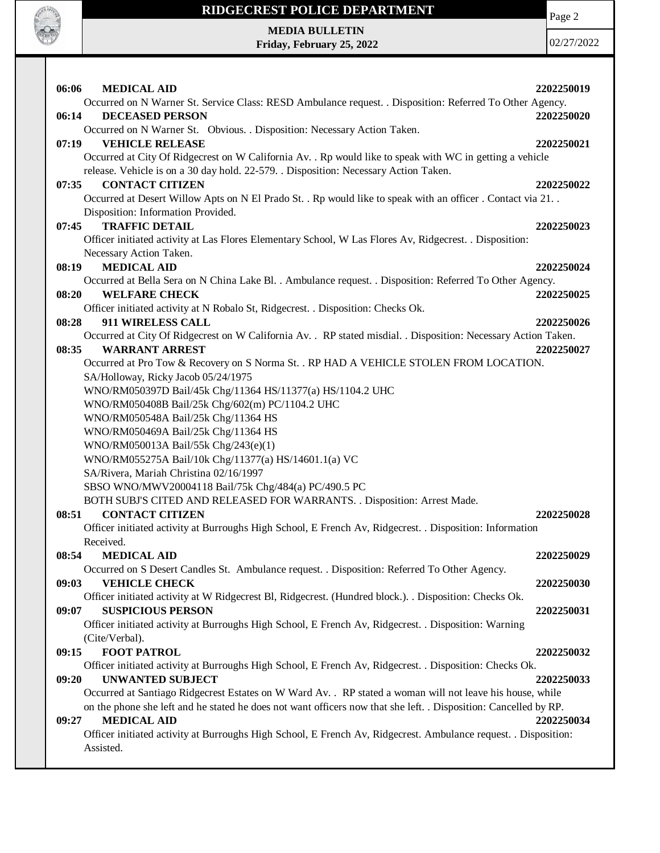

Page 2

**MEDIA BULLETIN Friday, February 25, 2022**

| 06:06<br><b>MEDICAL AID</b>                                                                                                        | 2202250019 |
|------------------------------------------------------------------------------------------------------------------------------------|------------|
| Occurred on N Warner St. Service Class: RESD Ambulance request. . Disposition: Referred To Other Agency.                           |            |
| 06:14<br><b>DECEASED PERSON</b>                                                                                                    | 2202250020 |
| Occurred on N Warner St. Obvious. . Disposition: Necessary Action Taken.                                                           |            |
| 07:19<br><b>VEHICLE RELEASE</b>                                                                                                    | 2202250021 |
| Occurred at City Of Ridgecrest on W California Av. . Rp would like to speak with WC in getting a vehicle                           |            |
| release. Vehicle is on a 30 day hold. 22-579. . Disposition: Necessary Action Taken.                                               |            |
| <b>CONTACT CITIZEN</b><br>07:35                                                                                                    | 2202250022 |
| Occurred at Desert Willow Apts on N El Prado St. . Rp would like to speak with an officer . Contact via 21. .                      |            |
| Disposition: Information Provided.                                                                                                 |            |
| <b>TRAFFIC DETAIL</b><br>07:45                                                                                                     | 2202250023 |
| Officer initiated activity at Las Flores Elementary School, W Las Flores Av, Ridgecrest. . Disposition:                            |            |
| Necessary Action Taken.                                                                                                            |            |
| <b>MEDICAL AID</b><br>08:19                                                                                                        | 2202250024 |
| Occurred at Bella Sera on N China Lake Bl. . Ambulance request. . Disposition: Referred To Other Agency.                           |            |
| <b>WELFARE CHECK</b><br>08:20                                                                                                      | 2202250025 |
| Officer initiated activity at N Robalo St, Ridgecrest. . Disposition: Checks Ok.                                                   |            |
| 911 WIRELESS CALL<br>08:28                                                                                                         | 2202250026 |
| Occurred at City Of Ridgecrest on W California Av. . RP stated misdial. . Disposition: Necessary Action Taken.                     |            |
| <b>WARRANT ARREST</b><br>08:35                                                                                                     | 2202250027 |
| Occurred at Pro Tow & Recovery on S Norma St. . RP HAD A VEHICLE STOLEN FROM LOCATION.                                             |            |
| SA/Holloway, Ricky Jacob 05/24/1975                                                                                                |            |
| WNO/RM050397D Bail/45k Chg/11364 HS/11377(a) HS/1104.2 UHC                                                                         |            |
| WNO/RM050408B Bail/25k Chg/602(m) PC/1104.2 UHC                                                                                    |            |
| WNO/RM050548A Bail/25k Chg/11364 HS                                                                                                |            |
| WNO/RM050469A Bail/25k Chg/11364 HS                                                                                                |            |
| WNO/RM050013A Bail/55k Chg/243(e)(1)                                                                                               |            |
| WNO/RM055275A Bail/10k Chg/11377(a) HS/14601.1(a) VC                                                                               |            |
| SA/Rivera, Mariah Christina 02/16/1997                                                                                             |            |
| SBSO WNO/MWV20004118 Bail/75k Chg/484(a) PC/490.5 PC                                                                               |            |
| BOTH SUBJ'S CITED AND RELEASED FOR WARRANTS. . Disposition: Arrest Made.                                                           |            |
| 08:51<br><b>CONTACT CITIZEN</b>                                                                                                    | 2202250028 |
| Officer initiated activity at Burroughs High School, E French Av, Ridgecrest. . Disposition: Information                           |            |
| Received.                                                                                                                          |            |
| 08:54<br><b>MEDICAL AID</b>                                                                                                        | 2202250029 |
| Occurred on S Desert Candles St. Ambulance request. . Disposition: Referred To Other Agency.                                       |            |
| 09:03<br><b>VEHICLE CHECK</b>                                                                                                      | 2202250030 |
| Officer initiated activity at W Ridgecrest Bl, Ridgecrest. (Hundred block.). . Disposition: Checks Ok.                             |            |
| 09:07<br><b>SUSPICIOUS PERSON</b>                                                                                                  | 2202250031 |
| Officer initiated activity at Burroughs High School, E French Av, Ridgecrest. . Disposition: Warning                               |            |
| (Cite/Verbal).                                                                                                                     |            |
| <b>FOOT PATROL</b><br>09:15                                                                                                        |            |
|                                                                                                                                    | 2202250032 |
| Officer initiated activity at Burroughs High School, E French Av, Ridgecrest. . Disposition: Checks Ok.<br><b>UNWANTED SUBJECT</b> |            |
| 09:20                                                                                                                              | 2202250033 |
| Occurred at Santiago Ridgecrest Estates on W Ward Av. . RP stated a woman will not leave his house, while                          |            |
| on the phone she left and he stated he does not want officers now that she left. . Disposition: Cancelled by RP.                   |            |
| <b>MEDICAL AID</b><br>09:27                                                                                                        | 2202250034 |
| Officer initiated activity at Burroughs High School, E French Av, Ridgecrest. Ambulance request. . Disposition:                    |            |
| Assisted.                                                                                                                          |            |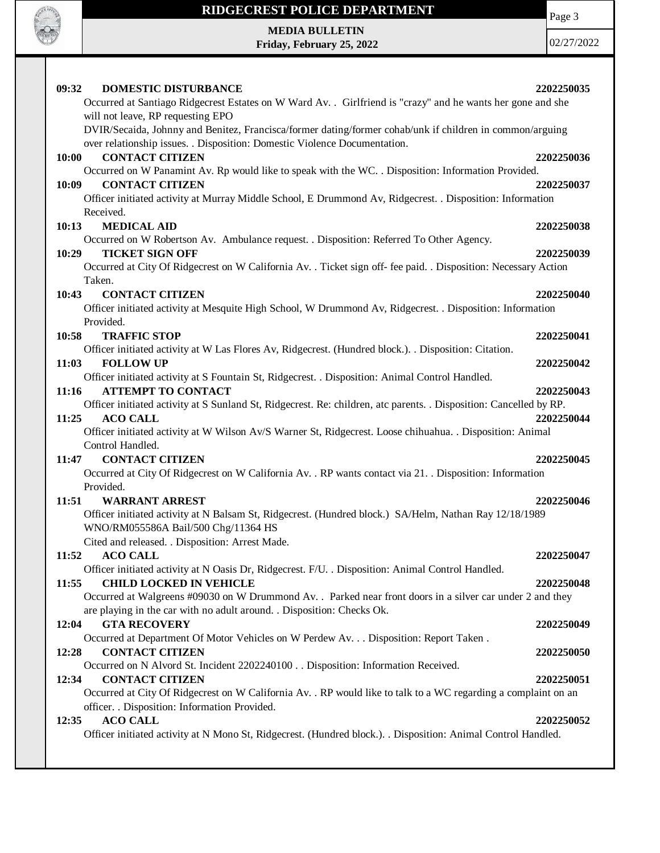

Page 3

**MEDIA BULLETIN Friday, February 25, 2022**

| 09:32<br><b>DOMESTIC DISTURBANCE</b>                                                                                                                                                                                       | 2202250035 |
|----------------------------------------------------------------------------------------------------------------------------------------------------------------------------------------------------------------------------|------------|
| Occurred at Santiago Ridgecrest Estates on W Ward Av. . Girlfriend is "crazy" and he wants her gone and she                                                                                                                |            |
| will not leave, RP requesting EPO<br>DVIR/Secaida, Johnny and Benitez, Francisca/former dating/former cohab/unk if children in common/arguing<br>over relationship issues. . Disposition: Domestic Violence Documentation. |            |
| <b>CONTACT CITIZEN</b><br>10:00                                                                                                                                                                                            | 2202250036 |
| Occurred on W Panamint Av. Rp would like to speak with the WC. . Disposition: Information Provided.                                                                                                                        |            |
| <b>CONTACT CITIZEN</b><br>10:09                                                                                                                                                                                            | 2202250037 |
| Officer initiated activity at Murray Middle School, E Drummond Av, Ridgecrest. . Disposition: Information<br>Received.                                                                                                     |            |
| 10:13<br><b>MEDICAL AID</b>                                                                                                                                                                                                | 2202250038 |
| Occurred on W Robertson Av. Ambulance request. . Disposition: Referred To Other Agency.                                                                                                                                    |            |
| <b>TICKET SIGN OFF</b><br>10:29                                                                                                                                                                                            | 2202250039 |
| Occurred at City Of Ridgecrest on W California Av. . Ticket sign off- fee paid. . Disposition: Necessary Action                                                                                                            |            |
| Taken.                                                                                                                                                                                                                     |            |
| 10:43<br><b>CONTACT CITIZEN</b>                                                                                                                                                                                            | 2202250040 |
| Officer initiated activity at Mesquite High School, W Drummond Av, Ridgecrest. . Disposition: Information                                                                                                                  |            |
| Provided.                                                                                                                                                                                                                  |            |
| <b>TRAFFIC STOP</b><br>10:58                                                                                                                                                                                               | 2202250041 |
| Officer initiated activity at W Las Flores Av, Ridgecrest. (Hundred block.). Disposition: Citation.                                                                                                                        |            |
| <b>FOLLOW UP</b><br>11:03                                                                                                                                                                                                  | 2202250042 |
| Officer initiated activity at S Fountain St, Ridgecrest. . Disposition: Animal Control Handled.                                                                                                                            |            |
| <b>ATTEMPT TO CONTACT</b><br>11:16                                                                                                                                                                                         | 2202250043 |
| Officer initiated activity at S Sunland St, Ridgecrest. Re: children, atc parents. . Disposition: Cancelled by RP.                                                                                                         |            |
| 11:25<br><b>ACO CALL</b><br>Officer initiated activity at W Wilson Av/S Warner St, Ridgecrest. Loose chihuahua. . Disposition: Animal                                                                                      | 2202250044 |
| Control Handled.                                                                                                                                                                                                           |            |
| <b>CONTACT CITIZEN</b><br>11:47                                                                                                                                                                                            | 2202250045 |
| Occurred at City Of Ridgecrest on W California Av. . RP wants contact via 21. . Disposition: Information                                                                                                                   |            |
| Provided.                                                                                                                                                                                                                  |            |
| <b>WARRANT ARREST</b><br>11:51                                                                                                                                                                                             | 2202250046 |
| Officer initiated activity at N Balsam St, Ridgecrest. (Hundred block.) SA/Helm, Nathan Ray 12/18/1989                                                                                                                     |            |
| WNO/RM055586A Bail/500 Chg/11364 HS                                                                                                                                                                                        |            |
| Cited and released. . Disposition: Arrest Made.                                                                                                                                                                            |            |
| <b>ACO CALL</b><br>11:52                                                                                                                                                                                                   | 2202250047 |
| Officer initiated activity at N Oasis Dr, Ridgecrest. F/U. . Disposition: Animal Control Handled.                                                                                                                          |            |
| <b>CHILD LOCKED IN VEHICLE</b><br>11:55                                                                                                                                                                                    | 2202250048 |
| Occurred at Walgreens #09030 on W Drummond Av. . Parked near front doors in a silver car under 2 and they                                                                                                                  |            |
| are playing in the car with no adult around. . Disposition: Checks Ok.                                                                                                                                                     |            |
| 12:04<br><b>GTA RECOVERY</b>                                                                                                                                                                                               | 2202250049 |
| Occurred at Department Of Motor Vehicles on W Perdew Av. Disposition: Report Taken .                                                                                                                                       |            |
| <b>CONTACT CITIZEN</b><br>12:28                                                                                                                                                                                            | 2202250050 |
| Occurred on N Alvord St. Incident 2202240100 Disposition: Information Received.                                                                                                                                            |            |
| <b>CONTACT CITIZEN</b><br>12:34                                                                                                                                                                                            | 2202250051 |
| Occurred at City Of Ridgecrest on W California Av. . RP would like to talk to a WC regarding a complaint on an                                                                                                             |            |
| officer. . Disposition: Information Provided.                                                                                                                                                                              |            |
| <b>ACO CALL</b><br>12:35<br>Officer initiated activity at N Mono St, Ridgecrest. (Hundred block.). . Disposition: Animal Control Handled.                                                                                  | 2202250052 |
|                                                                                                                                                                                                                            |            |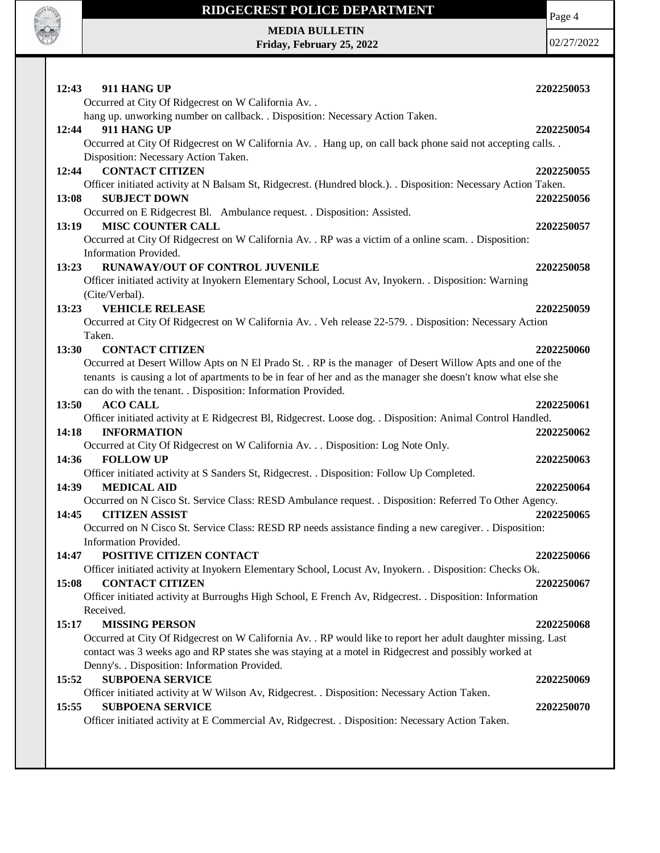

**MEDIA BULLETIN Friday, February 25, 2022** Page 4

| 12:43<br>911 HANG UP                                                                                                                                   | 2202250053 |
|--------------------------------------------------------------------------------------------------------------------------------------------------------|------------|
| Occurred at City Of Ridgecrest on W California Av. .                                                                                                   |            |
| hang up. unworking number on callback. . Disposition: Necessary Action Taken.                                                                          |            |
| 911 HANG UP<br>12:44                                                                                                                                   | 2202250054 |
| Occurred at City Of Ridgecrest on W California Av. . Hang up, on call back phone said not accepting calls. .                                           |            |
| Disposition: Necessary Action Taken.                                                                                                                   |            |
| <b>CONTACT CITIZEN</b><br>12:44                                                                                                                        | 2202250055 |
| Officer initiated activity at N Balsam St, Ridgecrest. (Hundred block.). . Disposition: Necessary Action Taken.                                        |            |
| <b>SUBJECT DOWN</b><br>13:08                                                                                                                           | 2202250056 |
| Occurred on E Ridgecrest Bl. Ambulance request. . Disposition: Assisted.                                                                               |            |
| <b>MISC COUNTER CALL</b><br>13:19                                                                                                                      | 2202250057 |
| Occurred at City Of Ridgecrest on W California Av. . RP was a victim of a online scam. . Disposition:                                                  |            |
| Information Provided.                                                                                                                                  |            |
| RUNAWAY/OUT OF CONTROL JUVENILE<br>13:23                                                                                                               | 2202250058 |
| Officer initiated activity at Inyokern Elementary School, Locust Av, Inyokern. . Disposition: Warning                                                  |            |
| (Cite/Verbal).<br><b>VEHICLE RELEASE</b><br>13:23                                                                                                      | 2202250059 |
| Occurred at City Of Ridgecrest on W California Av. . Veh release 22-579. . Disposition: Necessary Action                                               |            |
| Taken.                                                                                                                                                 |            |
| 13:30<br><b>CONTACT CITIZEN</b>                                                                                                                        | 2202250060 |
| Occurred at Desert Willow Apts on N El Prado St. . RP is the manager of Desert Willow Apts and one of the                                              |            |
| tenants is causing a lot of apartments to be in fear of her and as the manager she doesn't know what else she                                          |            |
| can do with the tenant. . Disposition: Information Provided.                                                                                           |            |
| 13:50<br><b>ACO CALL</b>                                                                                                                               | 2202250061 |
| Officer initiated activity at E Ridgecrest Bl, Ridgecrest. Loose dog. . Disposition: Animal Control Handled.                                           |            |
| 14:18<br><b>INFORMATION</b>                                                                                                                            | 2202250062 |
| Occurred at City Of Ridgecrest on W California Av. Disposition: Log Note Only.                                                                         |            |
| <b>FOLLOW UP</b><br>14:36                                                                                                                              | 2202250063 |
| Officer initiated activity at S Sanders St, Ridgecrest. . Disposition: Follow Up Completed.                                                            |            |
| <b>MEDICAL AID</b><br>14:39                                                                                                                            | 2202250064 |
| Occurred on N Cisco St. Service Class: RESD Ambulance request. . Disposition: Referred To Other Agency.                                                |            |
| <b>CITIZEN ASSIST</b><br>14:45                                                                                                                         | 2202250065 |
| Occurred on N Cisco St. Service Class: RESD RP needs assistance finding a new caregiver. . Disposition:                                                |            |
| Information Provided.                                                                                                                                  |            |
| POSITIVE CITIZEN CONTACT<br>14:47                                                                                                                      | 2202250066 |
| Officer initiated activity at Inyokern Elementary School, Locust Av, Inyokern. . Disposition: Checks Ok.                                               |            |
| <b>CONTACT CITIZEN</b><br>15:08                                                                                                                        | 2202250067 |
| Officer initiated activity at Burroughs High School, E French Av, Ridgecrest. . Disposition: Information                                               |            |
| Received.                                                                                                                                              |            |
| 15:17<br><b>MISSING PERSON</b>                                                                                                                         | 2202250068 |
| Occurred at City Of Ridgecrest on W California Av. . RP would like to report her adult daughter missing. Last                                          |            |
| contact was 3 weeks ago and RP states she was staying at a motel in Ridgecrest and possibly worked at<br>Denny's. . Disposition: Information Provided. |            |
| <b>SUBPOENA SERVICE</b><br>15:52                                                                                                                       | 2202250069 |
| Officer initiated activity at W Wilson Av, Ridgecrest. . Disposition: Necessary Action Taken.                                                          |            |
| <b>SUBPOENA SERVICE</b><br>15:55                                                                                                                       | 2202250070 |
| Officer initiated activity at E Commercial Av, Ridgecrest. . Disposition: Necessary Action Taken.                                                      |            |
|                                                                                                                                                        |            |
|                                                                                                                                                        |            |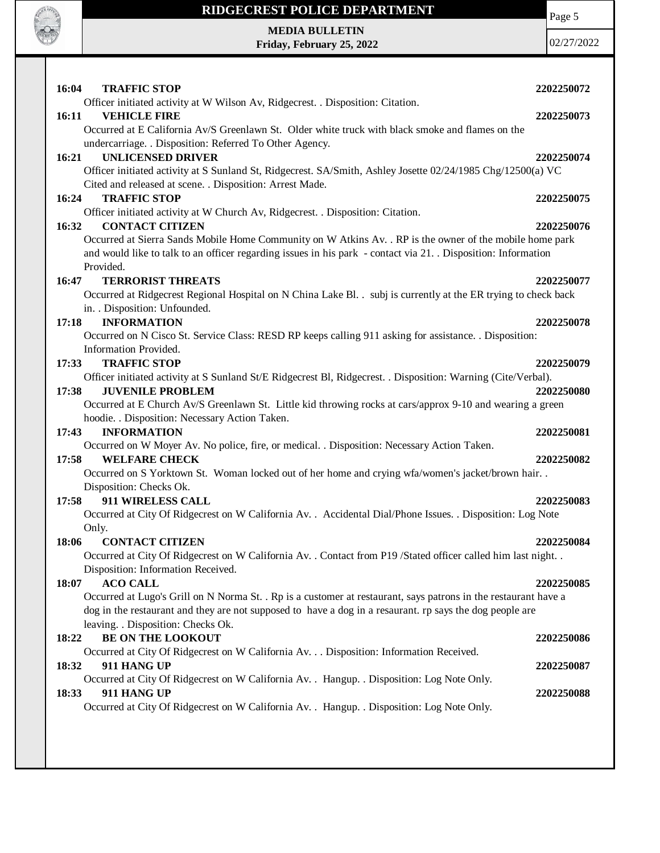

**MEDIA BULLETIN Friday, February 25, 2022** Page 5

| 16:04 | <b>TRAFFIC STOP</b>                                                                                                                      | 2202250072 |
|-------|------------------------------------------------------------------------------------------------------------------------------------------|------------|
|       | Officer initiated activity at W Wilson Av, Ridgecrest. . Disposition: Citation.                                                          |            |
| 16:11 | <b>VEHICLE FIRE</b>                                                                                                                      | 2202250073 |
|       | Occurred at E California Av/S Greenlawn St. Older white truck with black smoke and flames on the                                         |            |
|       | undercarriage. . Disposition: Referred To Other Agency.                                                                                  |            |
| 16:21 | <b>UNLICENSED DRIVER</b>                                                                                                                 | 2202250074 |
|       | Officer initiated activity at S Sunland St, Ridgecrest. SA/Smith, Ashley Josette 02/24/1985 Chg/12500(a) VC                              |            |
|       | Cited and released at scene. . Disposition: Arrest Made.                                                                                 |            |
| 16:24 | <b>TRAFFIC STOP</b>                                                                                                                      | 2202250075 |
|       | Officer initiated activity at W Church Av, Ridgecrest. . Disposition: Citation.                                                          |            |
| 16:32 | <b>CONTACT CITIZEN</b>                                                                                                                   | 2202250076 |
|       | Occurred at Sierra Sands Mobile Home Community on W Atkins Av. . RP is the owner of the mobile home park                                 |            |
|       | and would like to talk to an officer regarding issues in his park - contact via 21. Disposition: Information                             |            |
|       | Provided.                                                                                                                                |            |
| 16:47 | <b>TERRORIST THREATS</b>                                                                                                                 | 2202250077 |
|       | Occurred at Ridgecrest Regional Hospital on N China Lake Bl. . subj is currently at the ER trying to check back                          |            |
|       | in. . Disposition: Unfounded.                                                                                                            |            |
| 17:18 | <b>INFORMATION</b>                                                                                                                       | 2202250078 |
|       | Occurred on N Cisco St. Service Class: RESD RP keeps calling 911 asking for assistance. . Disposition:                                   |            |
|       | Information Provided.<br><b>TRAFFIC STOP</b>                                                                                             |            |
| 17:33 |                                                                                                                                          | 2202250079 |
| 17:38 | Officer initiated activity at S Sunland St/E Ridgecrest Bl, Ridgecrest. . Disposition: Warning (Cite/Verbal).<br><b>JUVENILE PROBLEM</b> | 2202250080 |
|       | Occurred at E Church Av/S Greenlawn St. Little kid throwing rocks at cars/approx 9-10 and wearing a green                                |            |
|       | hoodie. . Disposition: Necessary Action Taken.                                                                                           |            |
| 17:43 | <b>INFORMATION</b>                                                                                                                       | 2202250081 |
|       | Occurred on W Moyer Av. No police, fire, or medical. . Disposition: Necessary Action Taken.                                              |            |
| 17:58 | <b>WELFARE CHECK</b>                                                                                                                     | 2202250082 |
|       | Occurred on S Yorktown St. Woman locked out of her home and crying wfa/women's jacket/brown hair                                         |            |
|       | Disposition: Checks Ok.                                                                                                                  |            |
| 17:58 | 911 WIRELESS CALL                                                                                                                        | 2202250083 |
|       | Occurred at City Of Ridgecrest on W California Av. . Accidental Dial/Phone Issues. . Disposition: Log Note                               |            |
|       | Only.                                                                                                                                    |            |
| 18:06 | <b>CONTACT CITIZEN</b>                                                                                                                   | 2202250084 |
|       | Occurred at City Of Ridgecrest on W California Av. . Contact from P19 /Stated officer called him last night. .                           |            |
|       | Disposition: Information Received.                                                                                                       |            |
| 18:07 | <b>ACO CALL</b>                                                                                                                          | 2202250085 |
|       | Occurred at Lugo's Grill on N Norma St. . Rp is a customer at restaurant, says patrons in the restaurant have a                          |            |
|       | dog in the restaurant and they are not supposed to have a dog in a resaurant. rp says the dog people are                                 |            |
|       | leaving. . Disposition: Checks Ok.                                                                                                       |            |
| 18:22 | <b>BE ON THE LOOKOUT</b>                                                                                                                 | 2202250086 |
|       | Occurred at City Of Ridgecrest on W California Av. Disposition: Information Received.                                                    |            |
| 18:32 | 911 HANG UP                                                                                                                              | 2202250087 |
|       | Occurred at City Of Ridgecrest on W California Av. . Hangup. . Disposition: Log Note Only.                                               |            |
| 18:33 | 911 HANG UP                                                                                                                              | 2202250088 |
|       | Occurred at City Of Ridgecrest on W California Av. . Hangup. . Disposition: Log Note Only.                                               |            |
|       |                                                                                                                                          |            |
|       |                                                                                                                                          |            |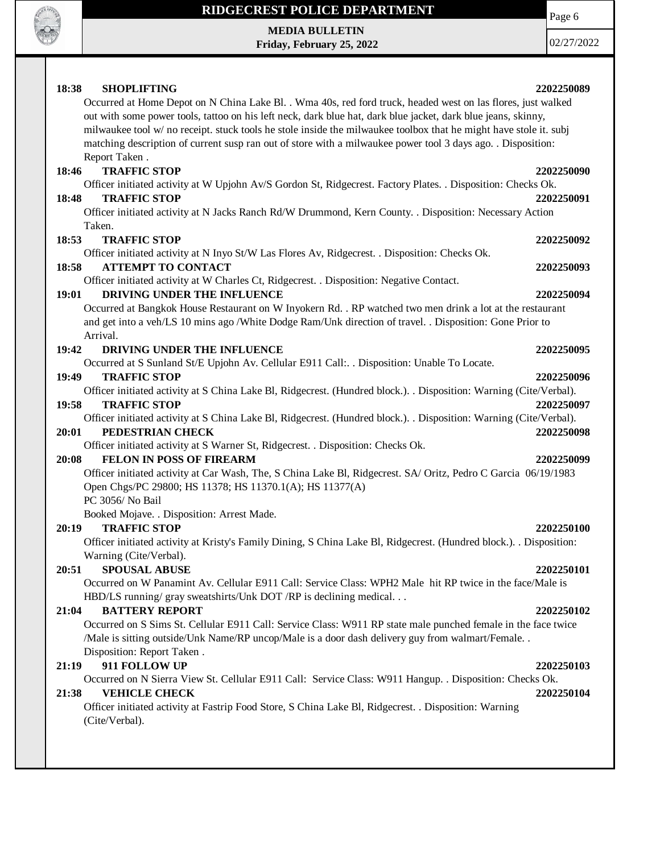

**MEDIA BULLETIN Friday, February 25, 2022** Page 6

| 18:38<br><b>SHOPLIFTING</b>                                                                                                                        | 2202250089 |
|----------------------------------------------------------------------------------------------------------------------------------------------------|------------|
| Occurred at Home Depot on N China Lake Bl. . Wma 40s, red ford truck, headed west on las flores, just walked                                       |            |
| out with some power tools, tattoo on his left neck, dark blue hat, dark blue jacket, dark blue jeans, skinny,                                      |            |
| milwaukee tool w/ no receipt. stuck tools he stole inside the milwaukee toolbox that he might have stole it. subj                                  |            |
| matching description of current susp ran out of store with a milwaukee power tool 3 days ago. . Disposition:                                       |            |
| Report Taken.                                                                                                                                      |            |
| <b>TRAFFIC STOP</b><br>18:46                                                                                                                       | 2202250090 |
| Officer initiated activity at W Upjohn Av/S Gordon St, Ridgecrest. Factory Plates. . Disposition: Checks Ok.                                       |            |
| <b>TRAFFIC STOP</b><br>18:48                                                                                                                       | 2202250091 |
| Officer initiated activity at N Jacks Ranch Rd/W Drummond, Kern County. . Disposition: Necessary Action                                            |            |
| Taken.                                                                                                                                             |            |
| 18:53<br><b>TRAFFIC STOP</b>                                                                                                                       | 2202250092 |
| Officer initiated activity at N Inyo St/W Las Flores Av, Ridgecrest. . Disposition: Checks Ok.                                                     |            |
| <b>ATTEMPT TO CONTACT</b><br>18:58                                                                                                                 | 2202250093 |
| Officer initiated activity at W Charles Ct, Ridgecrest. . Disposition: Negative Contact.                                                           |            |
| DRIVING UNDER THE INFLUENCE<br>19:01                                                                                                               | 2202250094 |
| Occurred at Bangkok House Restaurant on W Inyokern Rd. . RP watched two men drink a lot at the restaurant                                          |            |
| and get into a veh/LS 10 mins ago /White Dodge Ram/Unk direction of travel. . Disposition: Gone Prior to                                           |            |
| Arrival.                                                                                                                                           |            |
| 19:42<br>DRIVING UNDER THE INFLUENCE                                                                                                               | 2202250095 |
| Occurred at S Sunland St/E Upjohn Av. Cellular E911 Call: . Disposition: Unable To Locate.                                                         |            |
| <b>TRAFFIC STOP</b><br>19:49                                                                                                                       | 2202250096 |
|                                                                                                                                                    |            |
| Officer initiated activity at S China Lake Bl, Ridgecrest. (Hundred block.). . Disposition: Warning (Cite/Verbal).<br>19:58<br><b>TRAFFIC STOP</b> | 2202250097 |
|                                                                                                                                                    |            |
| Officer initiated activity at S China Lake Bl, Ridgecrest. (Hundred block.). Disposition: Warning (Cite/Verbal).<br>PEDESTRIAN CHECK               |            |
| 20:01                                                                                                                                              | 2202250098 |
| Officer initiated activity at S Warner St, Ridgecrest. . Disposition: Checks Ok.<br><b>FELON IN POSS OF FIREARM</b>                                |            |
| 20:08                                                                                                                                              | 2202250099 |
| Officer initiated activity at Car Wash, The, S China Lake Bl, Ridgecrest. SA/ Oritz, Pedro C Garcia 06/19/1983                                     |            |
| Open Chgs/PC 29800; HS 11378; HS 11370.1(A); HS 11377(A)<br>PC 3056/ No Bail                                                                       |            |
| Booked Mojave. . Disposition: Arrest Made.                                                                                                         |            |
| <b>TRAFFIC STOP</b><br>20:19                                                                                                                       | 2202250100 |
| Officer initiated activity at Kristy's Family Dining, S China Lake Bl, Ridgecrest. (Hundred block.). . Disposition:                                |            |
| Warning (Cite/Verbal).                                                                                                                             |            |
|                                                                                                                                                    | 2202250101 |
| 20:51<br><b>SPOUSAL ABUSE</b><br>Occurred on W Panamint Av. Cellular E911 Call: Service Class: WPH2 Male hit RP twice in the face/Male is          |            |
| HBD/LS running/ gray sweatshirts/Unk DOT /RP is declining medical                                                                                  |            |
| <b>BATTERY REPORT</b><br>21:04                                                                                                                     | 2202250102 |
| Occurred on S Sims St. Cellular E911 Call: Service Class: W911 RP state male punched female in the face twice                                      |            |
| /Male is sitting outside/Unk Name/RP uncop/Male is a door dash delivery guy from walmart/Female                                                    |            |
| Disposition: Report Taken.                                                                                                                         |            |
| 911 FOLLOW UP                                                                                                                                      |            |
| 21:19<br>Occurred on N Sierra View St. Cellular E911 Call: Service Class: W911 Hangup. . Disposition: Checks Ok.                                   | 2202250103 |
| <b>VEHICLE CHECK</b><br>21:38                                                                                                                      | 2202250104 |
| Officer initiated activity at Fastrip Food Store, S China Lake Bl, Ridgecrest. . Disposition: Warning                                              |            |
| (Cite/Verbal).                                                                                                                                     |            |
|                                                                                                                                                    |            |
|                                                                                                                                                    |            |
|                                                                                                                                                    |            |